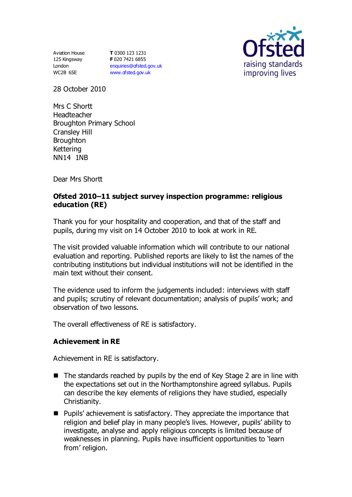Aviation House 125 Kingsway London WC2B 6SE

**T** 0300 123 1231 **F** 020 7421 6855 [enquiries@ofsted.gov.uk](mailto:enquiries@ofsted.gov.uk) [www.ofsted.gov.uk](http://www.ofsted.gov.uk/)



28 October 2010

Mrs C Shortt Headteacher Broughton Primary School Cransley Hill **Broughton** Kettering NN14 1NB

Dear Mrs Shortt

#### **Ofsted 2010–11 subject survey inspection programme: religious education (RE)**

Thank you for your hospitality and cooperation, and that of the staff and pupils, during my visit on 14 October 2010 to look at work in RE.

The visit provided valuable information which will contribute to our national evaluation and reporting. Published reports are likely to list the names of the contributing institutions but individual institutions will not be identified in the main text without their consent.

The evidence used to inform the judgements included: interviews with staff and pupils; scrutiny of relevant documentation; analysis of pupils' work; and observation of two lessons.

The overall effectiveness of RE is satisfactory.

#### **Achievement in RE**

Achievement in RE is satisfactory.

- $\blacksquare$  The standards reached by pupils by the end of Key Stage 2 are in line with the expectations set out in the Northamptonshire agreed syllabus. Pupils can describe the key elements of religions they have studied, especially Christianity.
- Pupils' achievement is satisfactory. They appreciate the importance that religion and belief play in many people's lives. However, pupils' ability to investigate, analyse and apply religious concepts is limited because of weaknesses in planning. Pupils have insufficient opportunities to 'learn from' religion.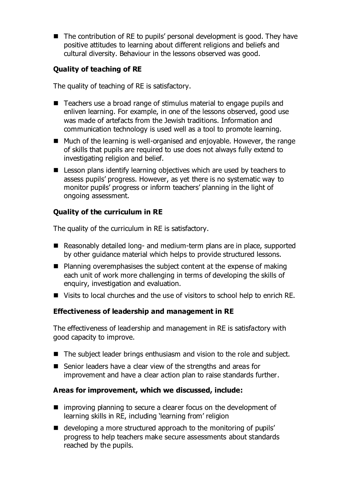■ The contribution of RE to pupils' personal development is good. They have positive attitudes to learning about different religions and beliefs and cultural diversity. Behaviour in the lessons observed was good.

# **Quality of teaching of RE**

The quality of teaching of RE is satisfactory.

- Teachers use a broad range of stimulus material to engage pupils and enliven learning. For example, in one of the lessons observed, good use was made of artefacts from the Jewish traditions. Information and communication technology is used well as a tool to promote learning.
- Much of the learning is well-organised and enjoyable. However, the range of skills that pupils are required to use does not always fully extend to investigating religion and belief.
- Lesson plans identify learning objectives which are used by teachers to assess pupils' progress. However, as yet there is no systematic way to monitor pupils' progress or inform teachers' planning in the light of ongoing assessment.

## **Quality of the curriculum in RE**

The quality of the curriculum in RE is satisfactory.

- Reasonably detailed long- and medium-term plans are in place, supported by other guidance material which helps to provide structured lessons.
- **Planning overemphasises the subject content at the expense of making** each unit of work more challenging in terms of developing the skills of enquiry, investigation and evaluation.
- Visits to local churches and the use of visitors to school help to enrich RE.

## **Effectiveness of leadership and management in RE**

The effectiveness of leadership and management in RE is satisfactory with good capacity to improve.

- The subject leader brings enthusiasm and vision to the role and subject.
- Senior leaders have a clear view of the strengths and areas for improvement and have a clear action plan to raise standards further.

## **Areas for improvement, which we discussed, include:**

- $\blacksquare$  improving planning to secure a clearer focus on the development of learning skills in RE, including 'learning from' religion
- developing a more structured approach to the monitoring of pupils' progress to help teachers make secure assessments about standards reached by the pupils.